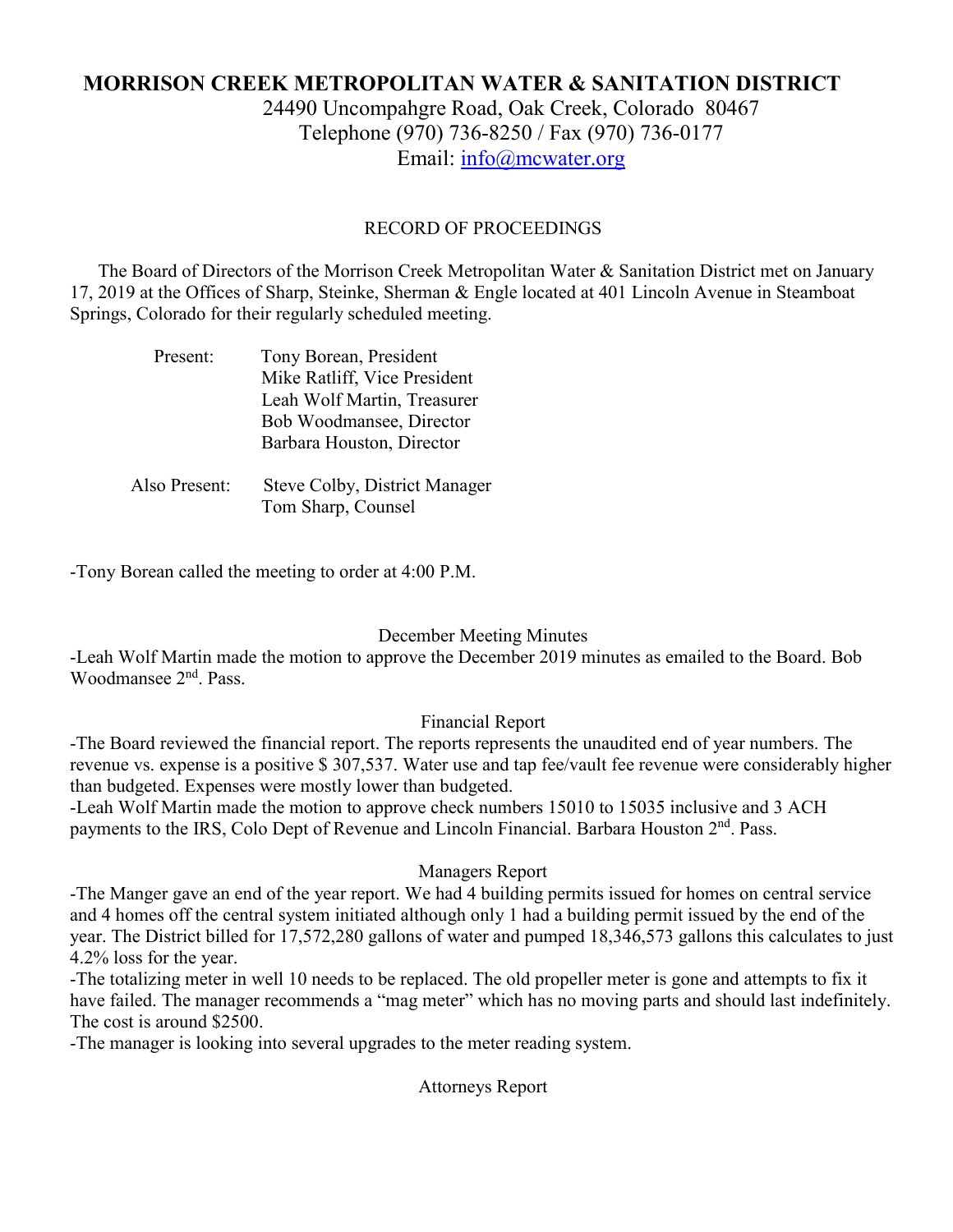# **MORRISON CREEK METROPOLITAN WATER & SANITATION DISTRICT** 24490 Uncompahgre Road, Oak Creek, Colorado 80467 Telephone (970) 736-8250 / Fax (970) 736-0177 Email: [info@mcwater.org](mailto:info@mcwater.org)

## RECORD OF PROCEEDINGS

 The Board of Directors of the Morrison Creek Metropolitan Water & Sanitation District met on January 17, 2019 at the Offices of Sharp, Steinke, Sherman & Engle located at 401 Lincoln Avenue in Steamboat Springs, Colorado for their regularly scheduled meeting.

| Present:      | Tony Borean, President               |
|---------------|--------------------------------------|
|               | Mike Ratliff, Vice President         |
|               | Leah Wolf Martin, Treasurer          |
|               | Bob Woodmansee, Director             |
|               | Barbara Houston, Director            |
|               |                                      |
| Also Present: | <b>Steve Colby, District Manager</b> |
|               | Tom Sharp, Counsel                   |

-Tony Borean called the meeting to order at 4:00 P.M.

## December Meeting Minutes

-Leah Wolf Martin made the motion to approve the December 2019 minutes as emailed to the Board. Bob Woodmansee 2nd. Pass.

## Financial Report

-The Board reviewed the financial report. The reports represents the unaudited end of year numbers. The revenue vs. expense is a positive \$ 307,537. Water use and tap fee/vault fee revenue were considerably higher than budgeted. Expenses were mostly lower than budgeted.

-Leah Wolf Martin made the motion to approve check numbers 15010 to 15035 inclusive and 3 ACH payments to the IRS, Colo Dept of Revenue and Lincoln Financial. Barbara Houston 2<sup>nd</sup>. Pass.

#### Managers Report

-The Manger gave an end of the year report. We had 4 building permits issued for homes on central service and 4 homes off the central system initiated although only 1 had a building permit issued by the end of the year. The District billed for 17,572,280 gallons of water and pumped 18,346,573 gallons this calculates to just 4.2% loss for the year.

-The totalizing meter in well 10 needs to be replaced. The old propeller meter is gone and attempts to fix it have failed. The manager recommends a "mag meter" which has no moving parts and should last indefinitely. The cost is around \$2500.

-The manager is looking into several upgrades to the meter reading system.

Attorneys Report